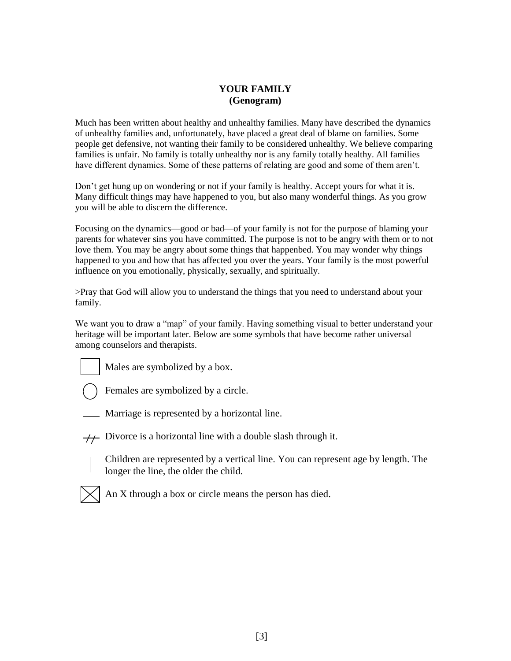## **YOUR FAMILY (Genogram)**

Much has been written about healthy and unhealthy families. Many have described the dynamics of unhealthy families and, unfortunately, have placed a great deal of blame on families. Some people get defensive, not wanting their family to be considered unhealthy. We believe comparing families is unfair. No family is totally unhealthy nor is any family totally healthy. All families have different dynamics. Some of these patterns of relating are good and some of them aren't.

Don't get hung up on wondering or not if your family is healthy. Accept yours for what it is. Many difficult things may have happened to you, but also many wonderful things. As you grow you will be able to discern the difference.

Focusing on the dynamics—good or bad—of your family is not for the purpose of blaming your parents for whatever sins you have committed. The purpose is not to be angry with them or to not love them. You may be angry about some things that happenbed. You may wonder why things happened to you and how that has affected you over the years. Your family is the most powerful influence on you emotionally, physically, sexually, and spiritually.

>Pray that God will allow you to understand the things that you need to understand about your family.

We want you to draw a "map" of your family. Having something visual to better understand your heritage will be important later. Below are some symbols that have become rather universal among counselors and therapists.



Males are symbolized by a box.



Females are symbolized by a circle.

- Marriage is represented by a horizontal line.
- $\overline{+}$  Divorce is a horizontal line with a double slash through it.
	- Children are represented by a vertical line. You can represent age by length. The longer the line, the older the child.



An X through a box or circle means the person has died.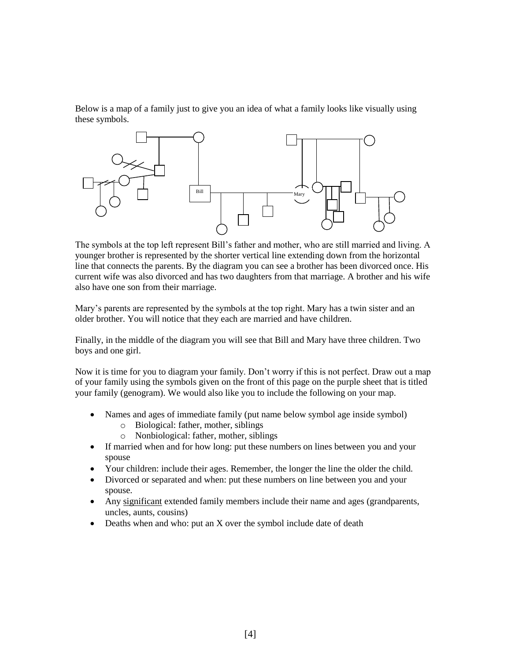Below is a map of a family just to give you an idea of what a family looks like visually using these symbols.



The symbols at the top left represent Bill's father and mother, who are still married and living. A younger brother is represented by the shorter vertical line extending down from the horizontal line that connects the parents. By the diagram you can see a brother has been divorced once. His current wife was also divorced and has two daughters from that marriage. A brother and his wife also have one son from their marriage.

Mary's parents are represented by the symbols at the top right. Mary has a twin sister and an older brother. You will notice that they each are married and have children.

Finally, in the middle of the diagram you will see that Bill and Mary have three children. Two boys and one girl.

Now it is time for you to diagram your family. Don't worry if this is not perfect. Draw out a map of your family using the symbols given on the front of this page on the purple sheet that is titled your family (genogram). We would also like you to include the following on your map.

- Names and ages of immediate family (put name below symbol age inside symbol)
	- o Biological: father, mother, siblings
	- o Nonbiological: father, mother, siblings
- If married when and for how long: put these numbers on lines between you and your spouse
- Your children: include their ages. Remember, the longer the line the older the child.
- Divorced or separated and when: put these numbers on line between you and your spouse.
- Any significant extended family members include their name and ages (grandparents, uncles, aunts, cousins)
- Deaths when and who: put an X over the symbol include date of death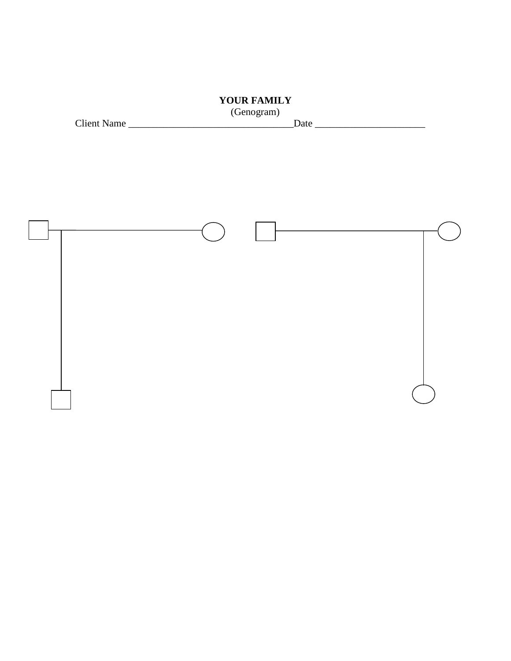